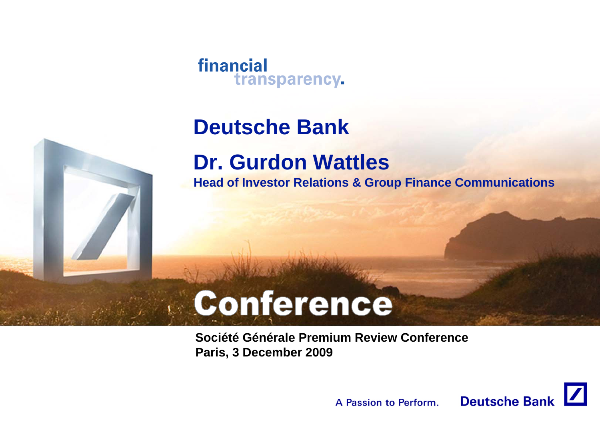#### financial transparency.

## **Deutsche Bank**

## **Dr. Gurdon Wattles**

**Head of Investor Relations & Group Finance Communications**

# Conference

**Société Générale Premium Review ConferenceParis, 3 December 2009**

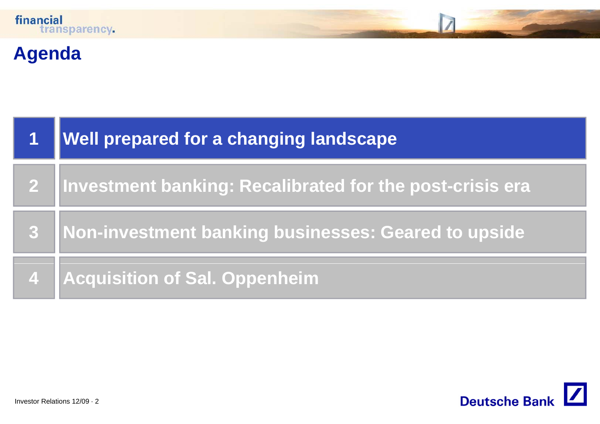

## **Agenda**

| <b>Well prepared for a changing landscape</b>              |
|------------------------------------------------------------|
| 2 Investment banking: Recalibrated for the post-crisis era |
| 3 Non-investment banking businesses: Geared to upside      |
| 4   Acquisition of Sal. Oppenheim                          |

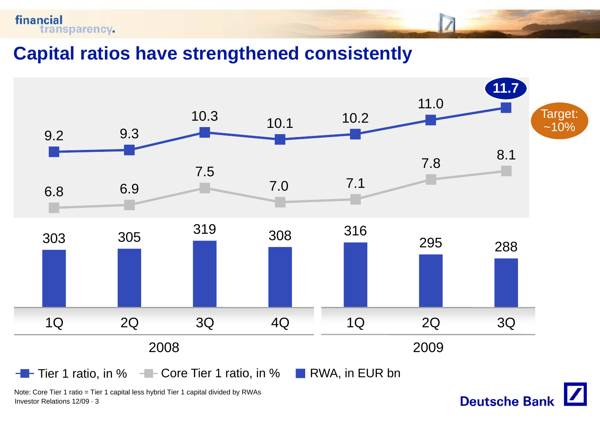

**Capital ratios have strengthened consistently**



**Deutsche Bank** 

Note: Core Tier 1 ratio = Tier 1 capital less hybrid Tier 1 capital divided by RWAs Investor Relations 12/09 · 3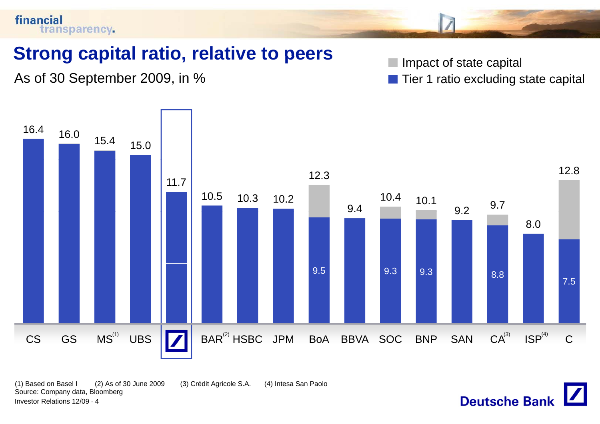

(1) Based on Basel I (2) As of 30 June 2009 (3) Crédit Agricole S.A. (4) Intesa San Paolo Source: Company data, Bloomberg Investor Relations 12/09 · 4

**Deutsche Bank**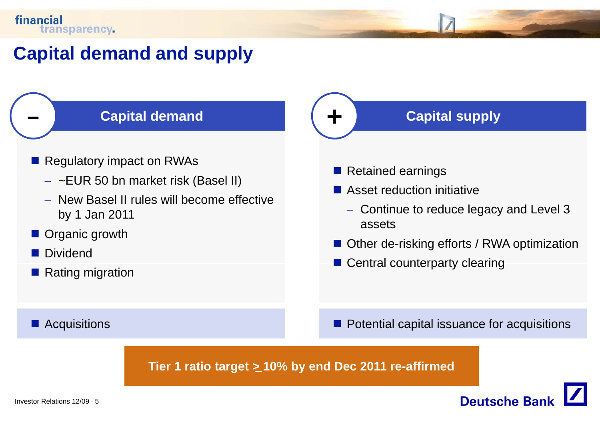**–**

### **Capital demand and supply**

#### **Capital demand**

- **Regulatory impact on RWAs** 
	- − ~EUR 50 bn market risk (Basel II)
	- − New Basel II rules will become effective by 1 Jan 2011
- **Organic growth**
- **Dividend**
- Rating migration

#### **Acquisitions**

#### **Capital supply**

**Retained earnings** 

**+**

- Asset reduction initiative
- − Continue to reduce legacy and Level 3 assets
	- Other de-risking efforts / RWA optimization
	- Central counterparty clearing

**Potential capital issuance for acquisitions** 

**Deutsche Ban** 

**Tier 1 ratio target <sup>&</sup>gt; 10% by end Dec 2011 re -affirmed** \_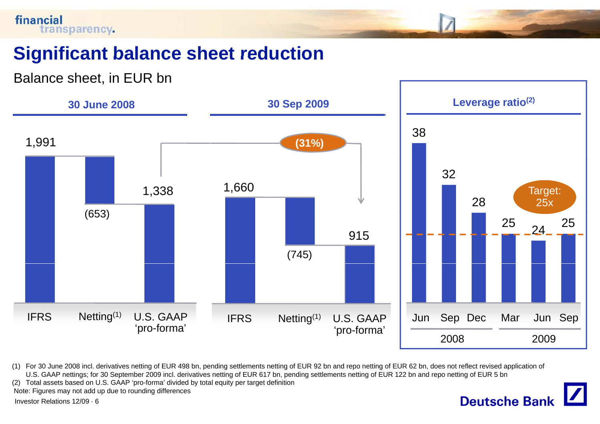

### **Significant balance sheet reduction reduction**

Balance sheet, in EUR bn



(1) For 30 June 2008 incl. derivatives netting of EUR 498 bn, pending settlements netting of EUR 92 bn and repo netting of EUR 62 bn, does not reflect revised application of U.S. GAAP nettings; for 30 September 2009 incl. derivatives netting of EUR 617 bn, pending settlements netting of EUR 122 bn and repo netting of EUR 5 bn

**Deutsche Bank** 

(2) Total assets based on U.S. GAAP 'pro-forma' divided by total equity per target definition

Note: Figures may not add up due to rounding differences

Investor Relations 12/09 · 6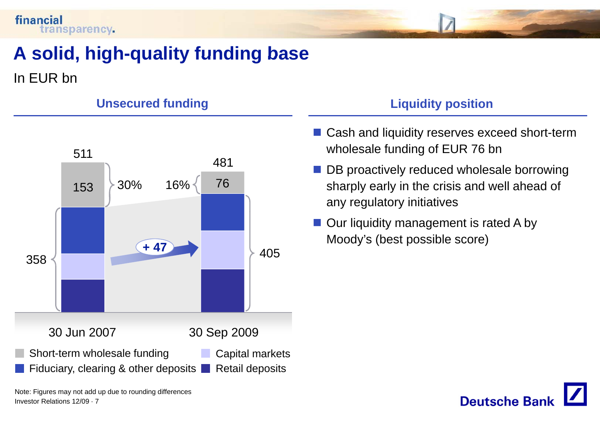

## **A solid high solid, high-quality funding base quality**

In EUR bn



#### Unsecured funding Liquidity position

- Cash and liquidity reserves exceed short-term wholesale funding of EUR 76 bn
- **DB** proactively reduced wholesale borrowing sharply early in the crisis and well ahead of any regulatory initiatives
- Our liquidity management is rated A by Moody's (best possible score)



Note: Figures may not add up due to rounding differences Investor Relations 12/09 · 7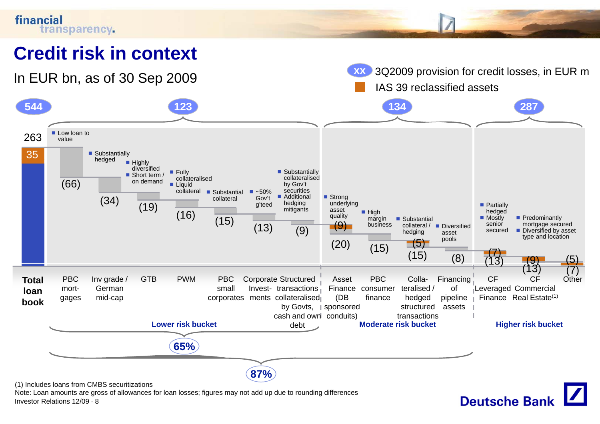

Note: Loan amounts are gross of allowances for loan losses; figures may not add up due to rounding differences Investor Relations 12/09 · 8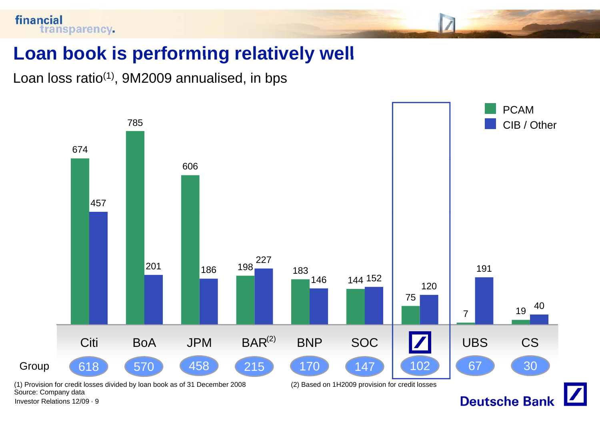

#### **Loan book is performing relatively well**

Loan loss ratio<sup>(1)</sup>, 9M2009 annualised, in bps



Investor Relations 12/09 · 9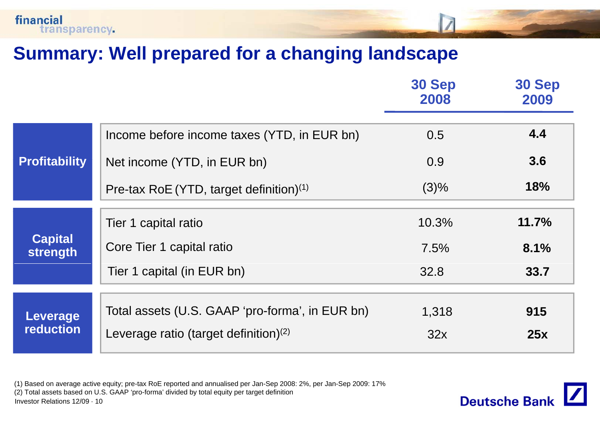

#### **Summary: Well prepared for <sup>a</sup> changing landscape**

|                                     |                                                                                                                     | <b>30 Sep</b><br>2008 | 30 Sep<br>2009 |
|-------------------------------------|---------------------------------------------------------------------------------------------------------------------|-----------------------|----------------|
|                                     | Income before income taxes (YTD, in EUR bn)                                                                         | 0.5                   | 4.4            |
| <b>Profitability</b>                | Net income (YTD, in EUR bn)                                                                                         | 0.9                   | 3.6            |
|                                     | Pre-tax RoE (YTD, target definition) $(1)$                                                                          | (3)%                  | <b>18%</b>     |
|                                     | Tier 1 capital ratio                                                                                                | 10.3%                 | 11.7%          |
| <b>Capital</b><br>strength          | Core Tier 1 capital ratio                                                                                           | 7.5%                  | 8.1%           |
|                                     | Tier 1 capital (in EUR bn)                                                                                          | 32.8                  | 33.7           |
|                                     | Total assets (U.S. GAAP 'pro-forma', in EUR bn)                                                                     | 1,318                 | 915            |
| <b>Leverage</b><br><b>reduction</b> | Leverage ratio (target definition) $(2)$                                                                            | 32x                   | 25x            |
|                                     | (1) Based on average active equity; pre-tax RoE reported and annualised per Jan-Sep 2008: 2%, per Jan-Sep 2009: 17% |                       |                |

(2) Total assets based on U.S. GAAP 'pro-forma' divided by total equity per target definition Investor Relations 12/09 · 10

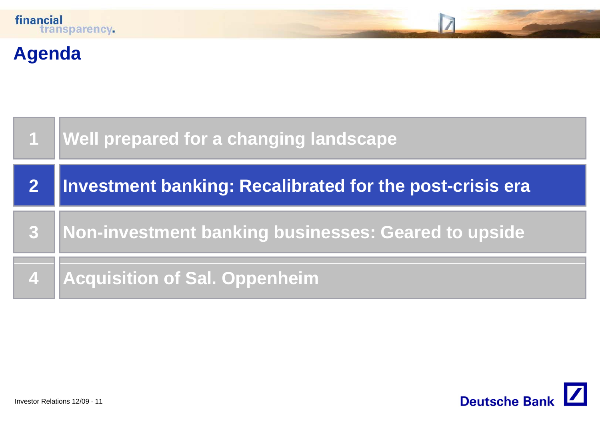

## **Agenda**

|   | 1   Well prepared for a changing landscape               |
|---|----------------------------------------------------------|
|   | Investment banking: Recalibrated for the post-crisis era |
| 3 | Non-investment banking businesses: Geared to upside      |
|   | 4 Acquisition of Sal. Oppenheim                          |

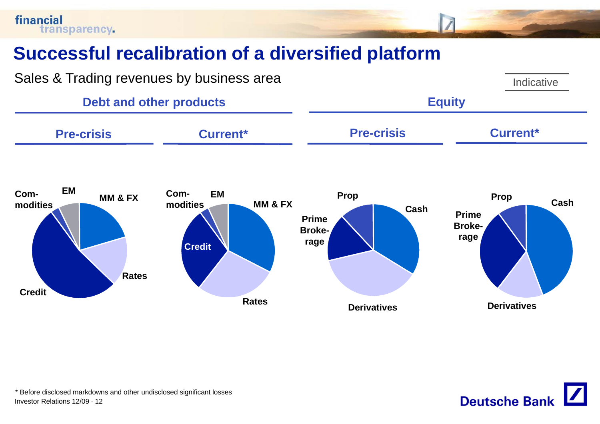financial transparency.

### **Successful recalibration of <sup>a</sup> diversified platform**



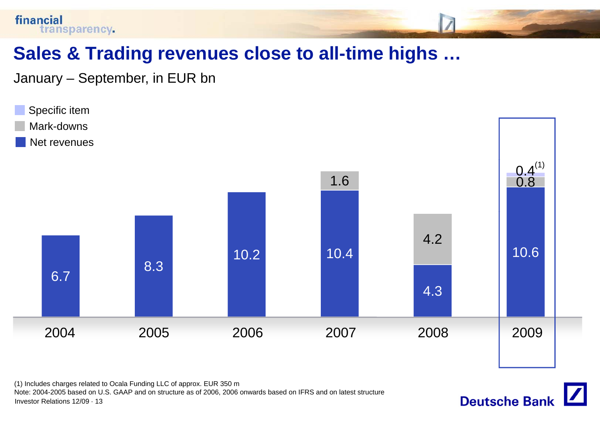

January – September, in EUR bn

financial



(1) Includes charges related to Ocala Funding LLC of approx. EUR 350 m Note: 2004-2005 based on U.S. GAAP and on structure as of 2006, 2006 onwards based on IFRS and on latest structure Investor Relations 12/09 · 13

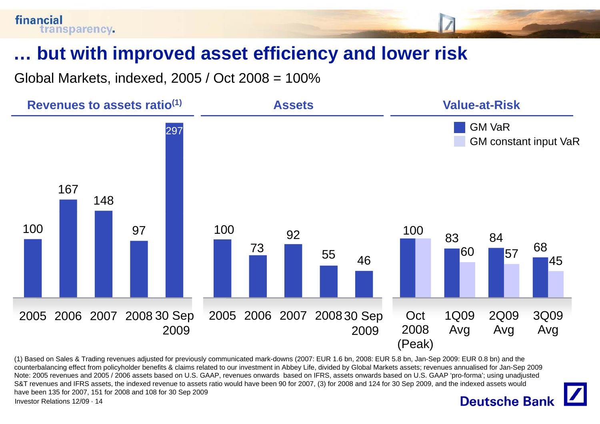### **… but with improved asset efficiency and lower risk with**

Global Markets, indexed, 2005 / Oct 2008 = 100%



(1) Based on Sales & Trading revenues adjusted for previously communicated mark-downs (2007: EUR 1.6 bn, 2008: EUR 5.8 bn, Jan-Sep 2009: EUR 0.8 bn) and the counterbalancing effect from policyholder benefits & claims related to our investment in Abbey Life, divided by Global Markets assets; revenues annualised for Jan-Sep 2009 Note: 2005 revenues and 2005 / 2006 assets based on U.S. GAAP, revenues onwards based on IFRS, assets onwards based on U.S. GAAP 'pro-forma'; using unadjusted S&T revenues and IFRS assets, the indexed revenue to assets ratio would have been 90 for 2007, (3) for 2008 and 124 for 30 Sep 2009, and the indexed assets would have been 135 for 2007, 151 for 2008 and 108 for 30 Sep 2009

Investor Relations 12/09 · 14

#### **Deutsche Bank**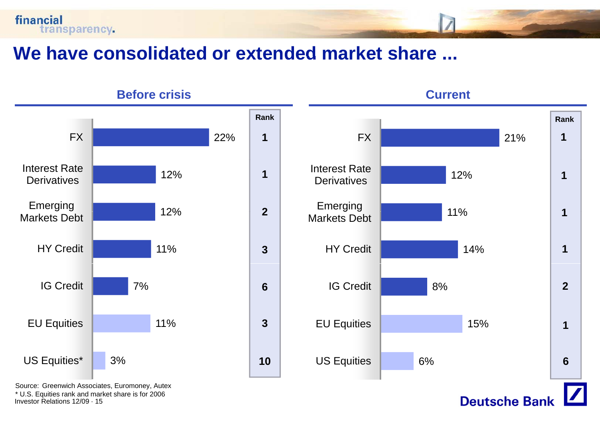



Source: Greenwich Associates, Euromoney, Autex \* U.S. Equities rank and market share is for 2006 Investor Relations 12/09 · 15

financial

transparency.





**Deutsche Bank**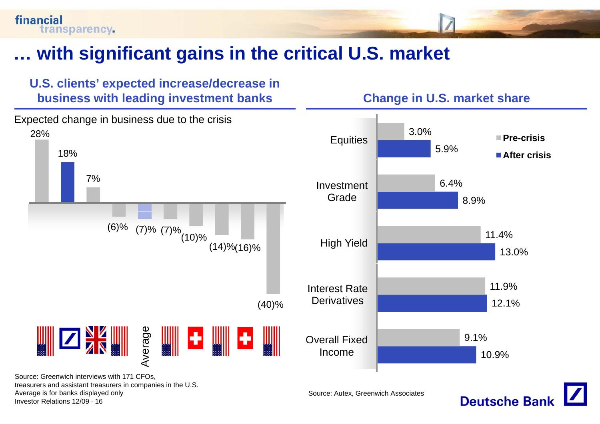## **… with significant gains in the critical U S market U.S.**





treasurers and assistant treasurers in companies in the U.S. Average is for banks displayed only Investor Relations 12/09 · 16

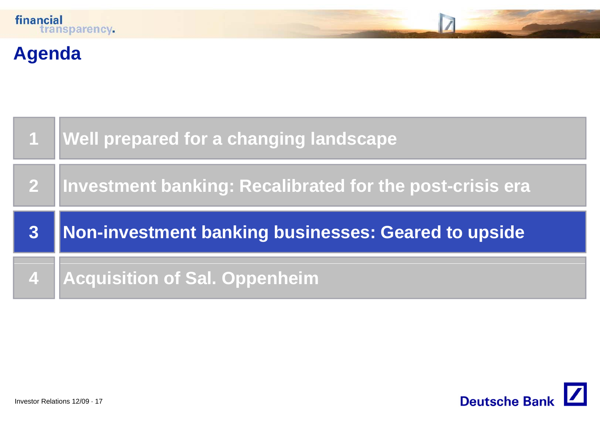## **Agenda**

|   | <b>Well prepared for a changing landscape</b>               |
|---|-------------------------------------------------------------|
|   | 2  Investment banking: Recalibrated for the post-crisis era |
|   |                                                             |
| 3 | Non-investment banking businesses: Geared to upside         |

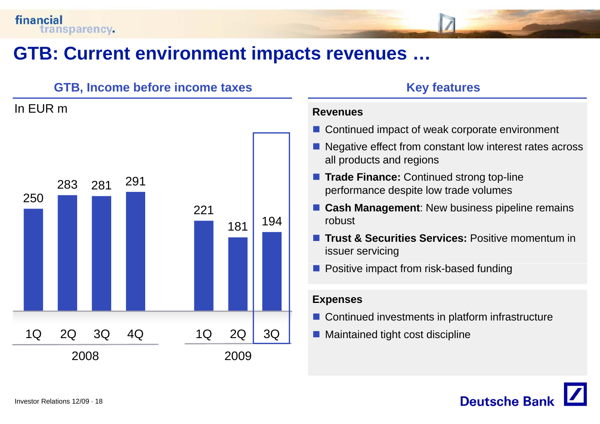In EUR m

#### **GTB: Current environment impacts revenues revenues …**

#### **GTB, Income before income taxes Key features**

## 250283 281 <sup>291</sup> 221181 <sup>194</sup> 1Q 2Q 3Q 4Q 2008 2009 1Q 2Q 3Q

#### **Revenues**

- Continued impact of weak corporate environment
- Negative effect from constant low interest rates across all products and regions
- **Trade Finance:** Continued strong top-line performance despite low trade volumes
- **E** Cash Management: New business pipeline remains robust
- **Trust & Securities Services:** Positive momentum in issuer servicing
- **Positive impact from risk-based funding**

#### **Expenses**

- $\blacksquare$  Continued investments in platform infrastructure
- Maintained tight cost discipline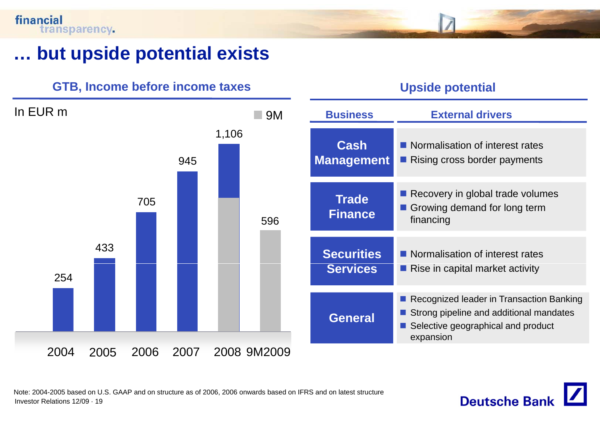#### financial transparency.

#### **… but upside potential exists**





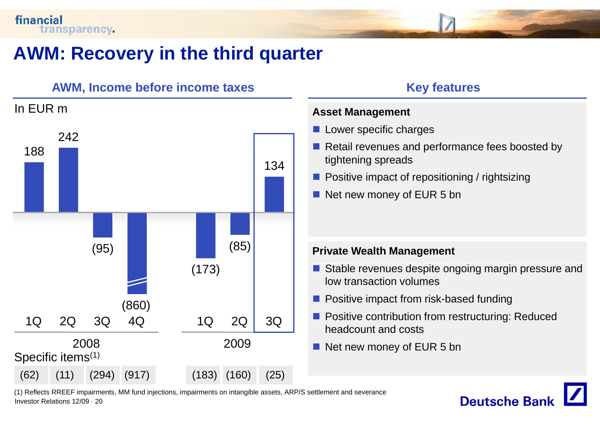

### **AWM: Recovery in the third quarter**



- **Lower specific charges**
- Retail revenues and performance fees boosted by tightening spreads
- **Positive impact of repositioning / rightsizing**
- Net new money of EUR 5 bn

- Stable revenues despite ongoing margin pressure and low transaction volumes
- **Positive impact from risk-based funding**
- **Positive contribution from restructuring: Reduced** headcount and costs
- Net new money of EUR 5 bn

(1) Reflects RREEF impairments, MM fund injections, impairments on intangible assets, ARP/S settlement and severance Investor Relations 12/09 · 20

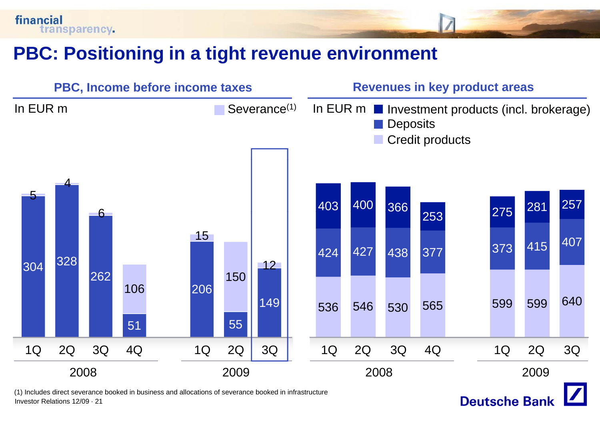



Investor Relations 12/09 · 21

financial

transparency.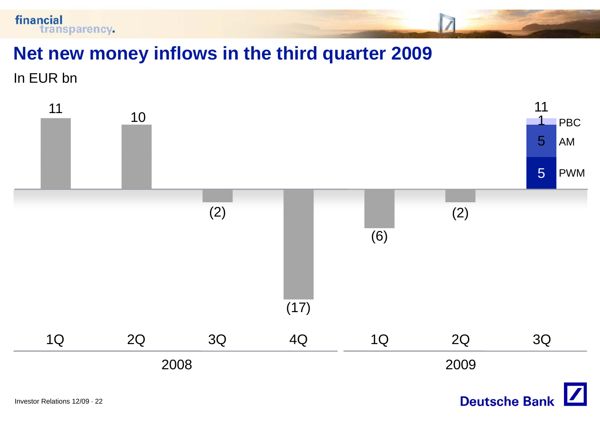

#### **Net new money inflows in the third quarter 2009**

In EUR bn

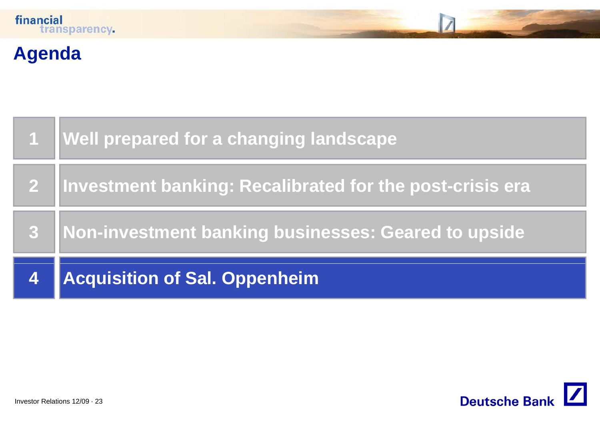## **Agenda**

|                         | 1   Well prepared for a changing landscape                 |
|-------------------------|------------------------------------------------------------|
|                         | 2 Investment banking: Recalibrated for the post-crisis era |
| 8                       | Non-investment banking businesses: Geared to upside        |
| $\overline{\mathbf{4}}$ | <b>Acquisition of Sal. Oppenheim</b>                       |

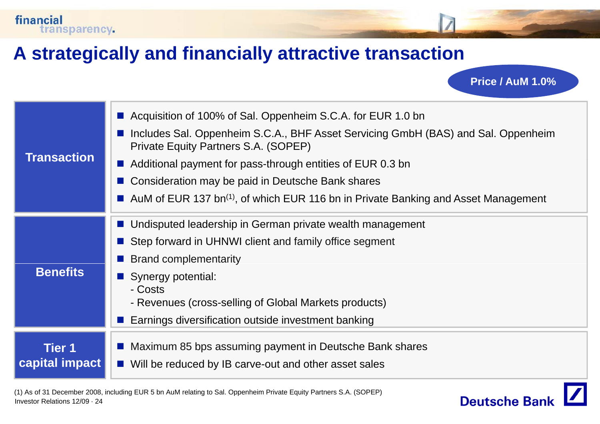### **A strategically and financially attractive transaction attractive**

financial

transparency.

**Transaction**■ Acquisition of 100% of Sal. Oppenheim S.C.A. for EUR 1.0 bn ■ Includes Sal. Oppenheim S.C.A., BHF Asset Servicing GmbH (BAS) and Sal. Oppenheim Private Equity Partners S.A. (SOPEP)  $\blacksquare$  Additional payment for pass-through entities of EUR 0.3 bn П Consideration may be paid in Deutsche Bank shares AuM of EUR 137 bn<sup>(1)</sup>, of which EUR 116 bn in Private Banking and Asset Management **Undisputed leadership in German private wealth management** ■ Step forward in UHNWI client and family office segment **Brand complementarity Benefits**П Synergy potential: - Costs- Revenues (cross-selling of Global Markets products) П Earnings diversification outside investment banking **Tier 1ca pital im pact p p** ■ Maximum 85 bps assuming payment in Deutsche Bank shares  $\blacksquare$  Will be reduced by IB carve-out and other asset sales



**Price / AuM 1.0%**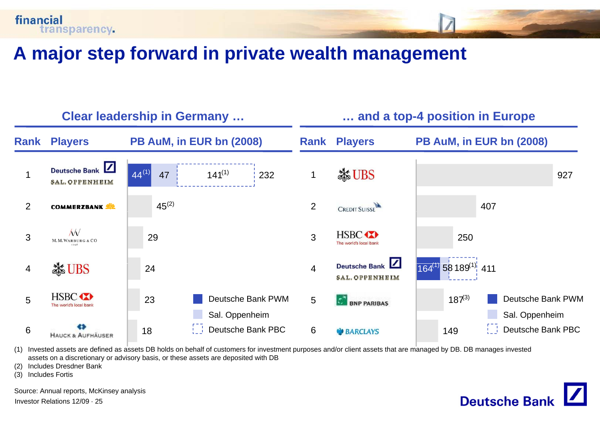

#### **A major step forward in private wealth management**



**Deutsche Bank** 

(1) Invested assets are defined as assets DB holds on behalf of customers for investment purposes and/or client assets that are managed by DB. DB manages invested assets on a discretionary or advisory basis, or these assets are deposited with DB

(2) Includes Dresdner Bank

(3) Includes Fortis

Source: Annual reports, McKinsey analysis

Investor Relations 12/09 · 25